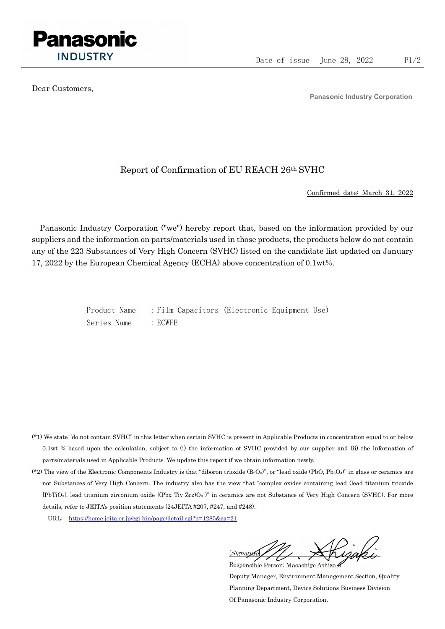

Dear Customers,

Panasonic Industry Corporation

## Report of Confirmation of EU REACH 26th SVHC

Confirmed date: March 31, 2022

Panasonic Industry Corporation ("we") hereby report that, based on the information provided by our suppliers and the information on parts/materials used in those products, the products below do not contain any of the 223 Substances of Very High Concern (SVHC) listed on the candidate list updated on January 17, 2022 by the European Chemical Agency (ECHA) above concentration of 0.1wt%.

> Product Name : Film Capacitors (Electronic Equipment Use) Series Name : ECWFE

- (\*1) We state "do not contain SVHC" in this letter when certain SVHC is present in Applicable Products in concentration equal to or below 0.1wt % based upon the calculation, subject to (i) the information of SVHC provided by our supplier and (ii) the information of parts/materials used in Applicable Products. We update this report if we obtain information newly.
- (\*2) The view of the Electronic Components Industry is that "diboron trioxide  $(B_2O_3)$ ", or "lead oxide (PbO, Pb<sub>3</sub>O<sub>4</sub>)" in glass or ceramics are not Substances of Very High Concern. The industry also has the view that "complex oxides containing lead (lead titanium trioxide [PbTiO3], lead titanium zirconium oxide [(Pbx Tiy Zrz)O3])" in ceramics are not Substance of Very High Concern (SVHC). For more details, refer to JEITA's position statements (24JEITA #207, #247, and #248).
	- URL: https://home.jeita.or.jp/cgi-bin/page/detail.cgi?n=1285&ca=21

[Signature] Responsible Person: Masashige Ashizaki

Deputy Manager, Environment Management Section, Quality Planning Department, Device Solutions Business Division Of Panasonic Industry Corporation.